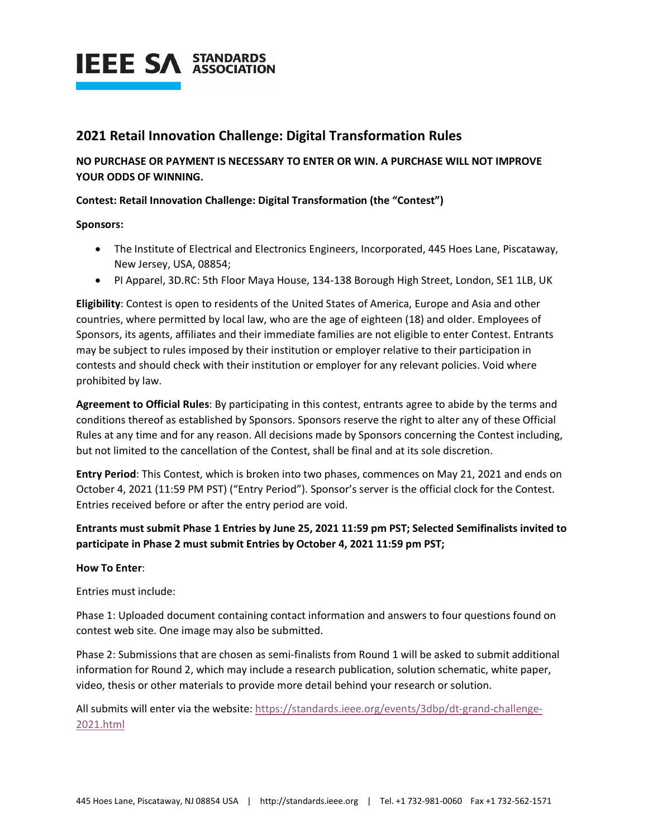

### **2021 Retail Innovation Challenge: Digital Transformation Rules**

**NO PURCHASE OR PAYMENT IS NECESSARY TO ENTER OR WIN. A PURCHASE WILL NOT IMPROVE YOUR ODDS OF WINNING.**

#### **Contest: Retail Innovation Challenge: Digital Transformation (the "Contest")**

**Sponsors:**

- The Institute of Electrical and Electronics Engineers, Incorporated, 445 Hoes Lane, Piscataway, New Jersey, USA, 08854;
- PI Apparel, 3D.RC: 5th Floor Maya House, 134-138 Borough High Street, London, SE1 1LB, UK

**Eligibility**: Contest is open to residents of the United States of America, Europe and Asia and other countries, where permitted by local law, who are the age of eighteen (18) and older. Employees of Sponsors, its agents, affiliates and their immediate families are not eligible to enter Contest. Entrants may be subject to rules imposed by their institution or employer relative to their participation in contests and should check with their institution or employer for any relevant policies. Void where prohibited by law.

**Agreement to Official Rules**: By participating in this contest, entrants agree to abide by the terms and conditions thereof as established by Sponsors. Sponsors reserve the right to alter any of these Official Rules at any time and for any reason. All decisions made by Sponsors concerning the Contest including, but not limited to the cancellation of the Contest, shall be final and at its sole discretion.

**Entry Period**: This Contest, which is broken into two phases, commences on May 21, 2021 and ends on October 4, 2021 (11:59 PM PST) ("Entry Period"). Sponsor's server is the official clock for the Contest. Entries received before or after the entry period are void.

#### **Entrants must submit Phase 1 Entries by June 25, 2021 11:59 pm PST; Selected Semifinalists invited to participate in Phase 2 must submit Entries by October 4, 2021 11:59 pm PST;**

#### **How To Enter**:

Entries must include:

Phase 1: Uploaded document containing contact information and answers to four questions found on contest web site. One image may also be submitted.

Phase 2: Submissions that are chosen as semi-finalists from Round 1 will be asked to submit additional information for Round 2, which may include a research publication, solution schematic, white paper, video, thesis or other materials to provide more detail behind your research or solution.

All submits will enter via the website: [https://standards.ieee.org/events/3dbp/dt-grand-challenge-](https://standards.ieee.org/events/3dbp/dt-grand-challenge-2021.html)[2021.html](https://standards.ieee.org/events/3dbp/dt-grand-challenge-2021.html)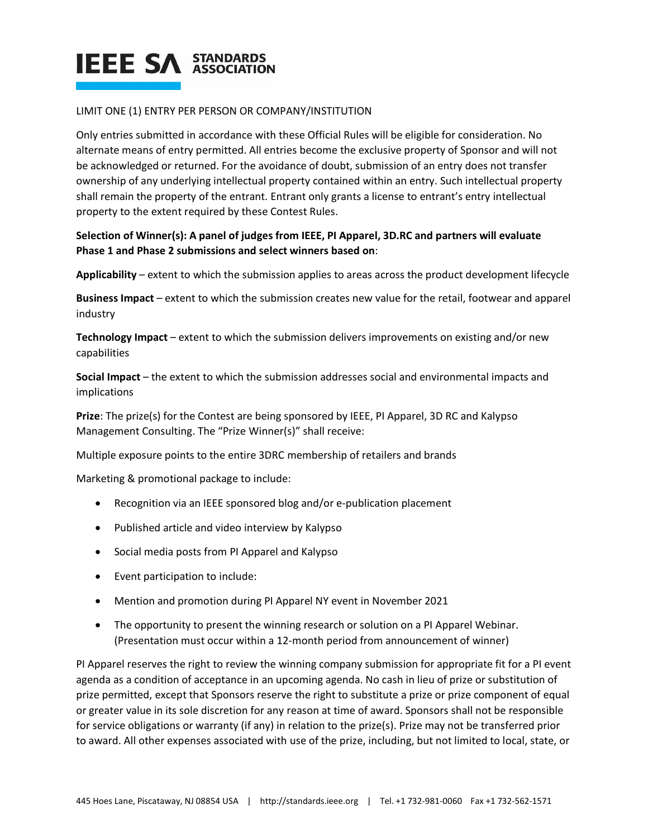#### LIMIT ONE (1) ENTRY PER PERSON OR COMPANY/INSTITUTION

Only entries submitted in accordance with these Official Rules will be eligible for consideration. No alternate means of entry permitted. All entries become the exclusive property of Sponsor and will not be acknowledged or returned. For the avoidance of doubt, submission of an entry does not transfer ownership of any underlying intellectual property contained within an entry. Such intellectual property shall remain the property of the entrant. Entrant only grants a license to entrant's entry intellectual property to the extent required by these Contest Rules.

#### **Selection of Winner(s): A panel of judges from IEEE, PI Apparel, 3D.RC and partners will evaluate Phase 1 and Phase 2 submissions and select winners based on**:

**Applicability** – extent to which the submission applies to areas across the product development lifecycle

**Business Impact** – extent to which the submission creates new value for the retail, footwear and apparel industry

**Technology Impact** – extent to which the submission delivers improvements on existing and/or new capabilities

**Social Impact** – the extent to which the submission addresses social and environmental impacts and implications

**Prize**: The prize(s) for the Contest are being sponsored by IEEE, PI Apparel, 3D RC and Kalypso Management Consulting. The "Prize Winner(s)" shall receive:

Multiple exposure points to the entire 3DRC membership of retailers and brands

Marketing & promotional package to include:

- Recognition via an IEEE sponsored blog and/or e-publication placement
- Published article and video interview by Kalypso
- Social media posts from PI Apparel and Kalypso
- Event participation to include:
- Mention and promotion during PI Apparel NY event in November 2021
- The opportunity to present the winning research or solution on a PI Apparel Webinar. (Presentation must occur within a 12-month period from announcement of winner)

PI Apparel reserves the right to review the winning company submission for appropriate fit for a PI event agenda as a condition of acceptance in an upcoming agenda. No cash in lieu of prize or substitution of prize permitted, except that Sponsors reserve the right to substitute a prize or prize component of equal or greater value in its sole discretion for any reason at time of award. Sponsors shall not be responsible for service obligations or warranty (if any) in relation to the prize(s). Prize may not be transferred prior to award. All other expenses associated with use of the prize, including, but not limited to local, state, or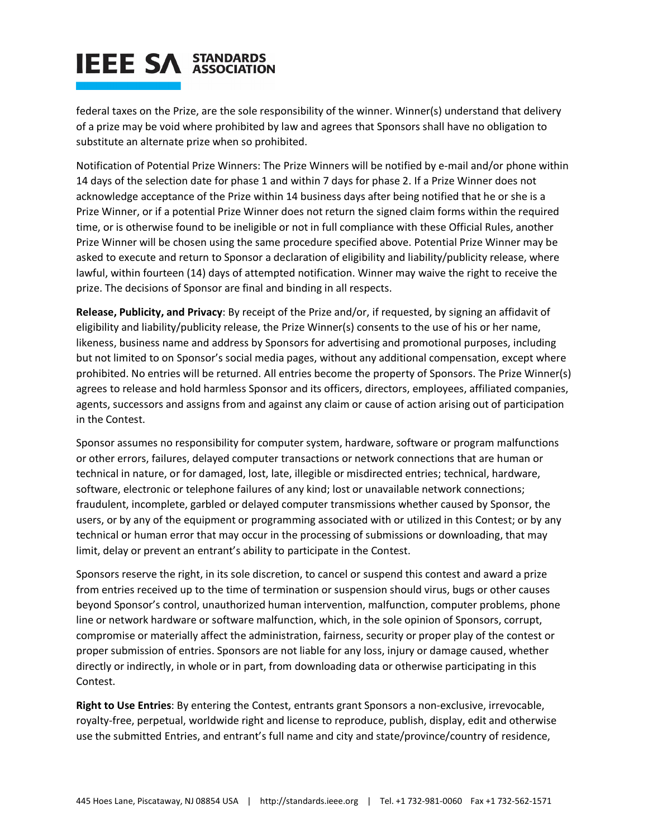federal taxes on the Prize, are the sole responsibility of the winner. Winner(s) understand that delivery of a prize may be void where prohibited by law and agrees that Sponsors shall have no obligation to substitute an alternate prize when so prohibited.

Notification of Potential Prize Winners: The Prize Winners will be notified by e-mail and/or phone within 14 days of the selection date for phase 1 and within 7 days for phase 2. If a Prize Winner does not acknowledge acceptance of the Prize within 14 business days after being notified that he or she is a Prize Winner, or if a potential Prize Winner does not return the signed claim forms within the required time, or is otherwise found to be ineligible or not in full compliance with these Official Rules, another Prize Winner will be chosen using the same procedure specified above. Potential Prize Winner may be asked to execute and return to Sponsor a declaration of eligibility and liability/publicity release, where lawful, within fourteen (14) days of attempted notification. Winner may waive the right to receive the prize. The decisions of Sponsor are final and binding in all respects.

**Release, Publicity, and Privacy**: By receipt of the Prize and/or, if requested, by signing an affidavit of eligibility and liability/publicity release, the Prize Winner(s) consents to the use of his or her name, likeness, business name and address by Sponsors for advertising and promotional purposes, including but not limited to on Sponsor's social media pages, without any additional compensation, except where prohibited. No entries will be returned. All entries become the property of Sponsors. The Prize Winner(s) agrees to release and hold harmless Sponsor and its officers, directors, employees, affiliated companies, agents, successors and assigns from and against any claim or cause of action arising out of participation in the Contest.

Sponsor assumes no responsibility for computer system, hardware, software or program malfunctions or other errors, failures, delayed computer transactions or network connections that are human or technical in nature, or for damaged, lost, late, illegible or misdirected entries; technical, hardware, software, electronic or telephone failures of any kind; lost or unavailable network connections; fraudulent, incomplete, garbled or delayed computer transmissions whether caused by Sponsor, the users, or by any of the equipment or programming associated with or utilized in this Contest; or by any technical or human error that may occur in the processing of submissions or downloading, that may limit, delay or prevent an entrant's ability to participate in the Contest.

Sponsors reserve the right, in its sole discretion, to cancel or suspend this contest and award a prize from entries received up to the time of termination or suspension should virus, bugs or other causes beyond Sponsor's control, unauthorized human intervention, malfunction, computer problems, phone line or network hardware or software malfunction, which, in the sole opinion of Sponsors, corrupt, compromise or materially affect the administration, fairness, security or proper play of the contest or proper submission of entries. Sponsors are not liable for any loss, injury or damage caused, whether directly or indirectly, in whole or in part, from downloading data or otherwise participating in this Contest.

**Right to Use Entries**: By entering the Contest, entrants grant Sponsors a non-exclusive, irrevocable, royalty-free, perpetual, worldwide right and license to reproduce, publish, display, edit and otherwise use the submitted Entries, and entrant's full name and city and state/province/country of residence,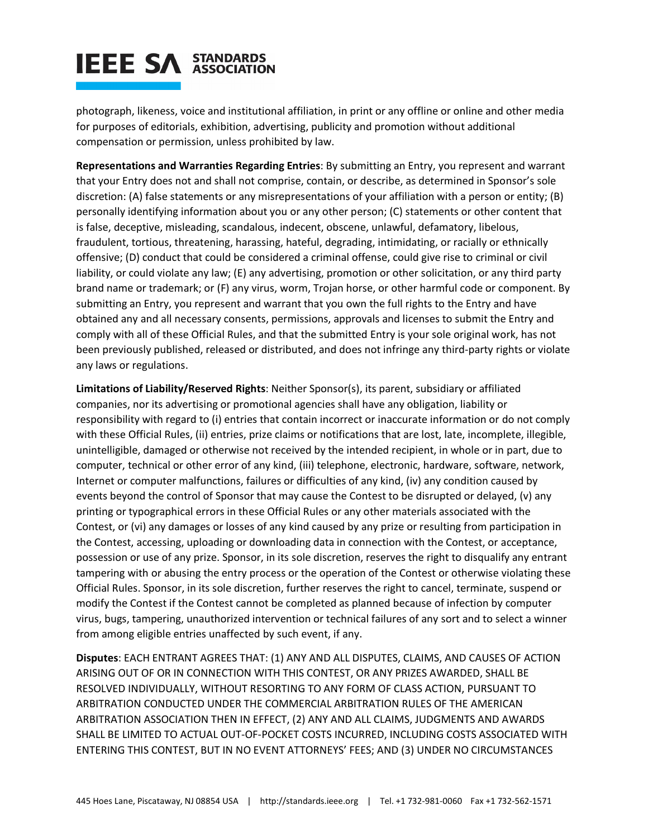photograph, likeness, voice and institutional affiliation, in print or any offline or online and other media for purposes of editorials, exhibition, advertising, publicity and promotion without additional compensation or permission, unless prohibited by law.

**Representations and Warranties Regarding Entries**: By submitting an Entry, you represent and warrant that your Entry does not and shall not comprise, contain, or describe, as determined in Sponsor's sole discretion: (A) false statements or any misrepresentations of your affiliation with a person or entity; (B) personally identifying information about you or any other person; (C) statements or other content that is false, deceptive, misleading, scandalous, indecent, obscene, unlawful, defamatory, libelous, fraudulent, tortious, threatening, harassing, hateful, degrading, intimidating, or racially or ethnically offensive; (D) conduct that could be considered a criminal offense, could give rise to criminal or civil liability, or could violate any law; (E) any advertising, promotion or other solicitation, or any third party brand name or trademark; or (F) any virus, worm, Trojan horse, or other harmful code or component. By submitting an Entry, you represent and warrant that you own the full rights to the Entry and have obtained any and all necessary consents, permissions, approvals and licenses to submit the Entry and comply with all of these Official Rules, and that the submitted Entry is your sole original work, has not been previously published, released or distributed, and does not infringe any third-party rights or violate any laws or regulations.

**Limitations of Liability/Reserved Rights**: Neither Sponsor(s), its parent, subsidiary or affiliated companies, nor its advertising or promotional agencies shall have any obligation, liability or responsibility with regard to (i) entries that contain incorrect or inaccurate information or do not comply with these Official Rules, (ii) entries, prize claims or notifications that are lost, late, incomplete, illegible, unintelligible, damaged or otherwise not received by the intended recipient, in whole or in part, due to computer, technical or other error of any kind, (iii) telephone, electronic, hardware, software, network, Internet or computer malfunctions, failures or difficulties of any kind, (iv) any condition caused by events beyond the control of Sponsor that may cause the Contest to be disrupted or delayed, (v) any printing or typographical errors in these Official Rules or any other materials associated with the Contest, or (vi) any damages or losses of any kind caused by any prize or resulting from participation in the Contest, accessing, uploading or downloading data in connection with the Contest, or acceptance, possession or use of any prize. Sponsor, in its sole discretion, reserves the right to disqualify any entrant tampering with or abusing the entry process or the operation of the Contest or otherwise violating these Official Rules. Sponsor, in its sole discretion, further reserves the right to cancel, terminate, suspend or modify the Contest if the Contest cannot be completed as planned because of infection by computer virus, bugs, tampering, unauthorized intervention or technical failures of any sort and to select a winner from among eligible entries unaffected by such event, if any.

**Disputes**: EACH ENTRANT AGREES THAT: (1) ANY AND ALL DISPUTES, CLAIMS, AND CAUSES OF ACTION ARISING OUT OF OR IN CONNECTION WITH THIS CONTEST, OR ANY PRIZES AWARDED, SHALL BE RESOLVED INDIVIDUALLY, WITHOUT RESORTING TO ANY FORM OF CLASS ACTION, PURSUANT TO ARBITRATION CONDUCTED UNDER THE COMMERCIAL ARBITRATION RULES OF THE AMERICAN ARBITRATION ASSOCIATION THEN IN EFFECT, (2) ANY AND ALL CLAIMS, JUDGMENTS AND AWARDS SHALL BE LIMITED TO ACTUAL OUT-OF-POCKET COSTS INCURRED, INCLUDING COSTS ASSOCIATED WITH ENTERING THIS CONTEST, BUT IN NO EVENT ATTORNEYS' FEES; AND (3) UNDER NO CIRCUMSTANCES